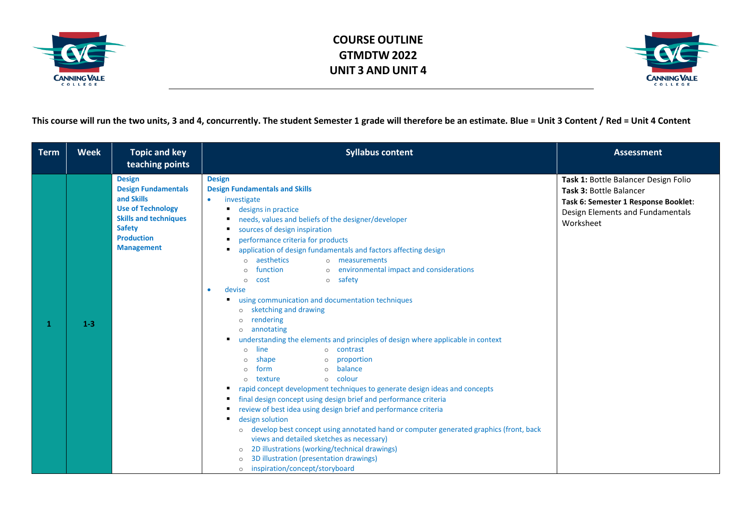



**This course will run the two units, 3 and 4, concurrently. The student Semester 1 grade will therefore be an estimate. Blue = Unit 3 Content / Red = Unit 4 Content**

| <b>Term</b> | <b>Week</b> | <b>Topic and key</b><br>teaching points                                                                                                                                          | <b>Syllabus content</b>                                                                                                                                                                                                                                                                                                                                                                                                                                                                                                                                                                                                                                                                                                                                                                                                                                                                                                                                                                                                                                                                                                                                                                                                                                                                                                                                                                                                    | <b>Assessment</b>                                                                                                                                        |
|-------------|-------------|----------------------------------------------------------------------------------------------------------------------------------------------------------------------------------|----------------------------------------------------------------------------------------------------------------------------------------------------------------------------------------------------------------------------------------------------------------------------------------------------------------------------------------------------------------------------------------------------------------------------------------------------------------------------------------------------------------------------------------------------------------------------------------------------------------------------------------------------------------------------------------------------------------------------------------------------------------------------------------------------------------------------------------------------------------------------------------------------------------------------------------------------------------------------------------------------------------------------------------------------------------------------------------------------------------------------------------------------------------------------------------------------------------------------------------------------------------------------------------------------------------------------------------------------------------------------------------------------------------------------|----------------------------------------------------------------------------------------------------------------------------------------------------------|
| -1          | $1-3$       | <b>Design</b><br><b>Design Fundamentals</b><br>and Skills<br><b>Use of Technology</b><br><b>Skills and techniques</b><br><b>Safety</b><br><b>Production</b><br><b>Management</b> | <b>Design</b><br><b>Design Fundamentals and Skills</b><br>$\bullet$<br>investigate<br>designs in practice<br>needs, values and beliefs of the designer/developer<br>sources of design inspiration<br>٠<br>performance criteria for products<br>application of design fundamentals and factors affecting design<br>aesthetics<br>o measurements<br>$\circ$<br>o environmental impact and considerations<br>function<br>$\Omega$<br>o safety<br>cost<br>$\Omega$<br>devise<br>using communication and documentation techniques<br>٠<br>sketching and drawing<br>$\circ$<br>rendering<br>$\Omega$<br>annotating<br>$\Omega$<br>understanding the elements and principles of design where applicable in context<br>٠<br>line<br>o contrast<br>$\circ$<br>shape<br>o proportion<br>$\circ$<br>o balance<br>form<br>$\circ$<br>$\circ$ colour<br>texture<br>$\circ$<br>rapid concept development techniques to generate design ideas and concepts<br>final design concept using design brief and performance criteria<br>review of best idea using design brief and performance criteria<br>design solution<br>٠<br>develop best concept using annotated hand or computer generated graphics (front, back<br>$\circ$<br>views and detailed sketches as necessary)<br>2D illustrations (working/technical drawings)<br>$\circ$<br>3D illustration (presentation drawings)<br>$\circ$<br>inspiration/concept/storyboard<br>$\circ$ | Task 1: Bottle Balancer Design Folio<br>Task 3: Bottle Balancer<br>Task 6: Semester 1 Response Booklet:<br>Design Elements and Fundamentals<br>Worksheet |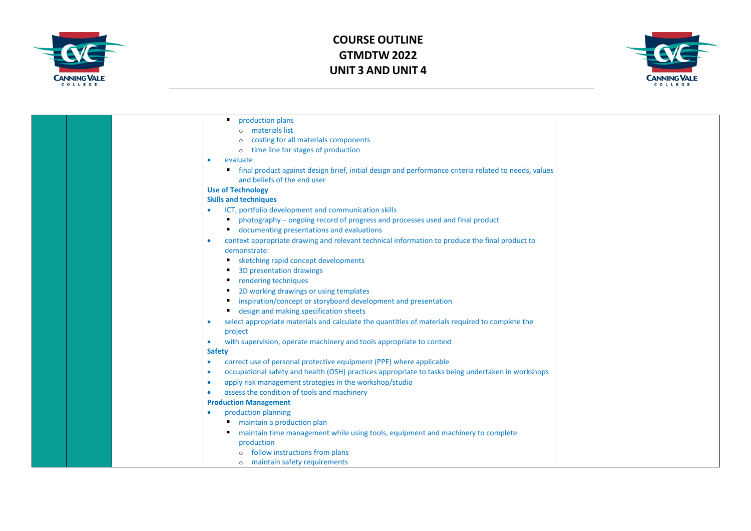



|  | production plans                                                                                       |  |
|--|--------------------------------------------------------------------------------------------------------|--|
|  | o materials list                                                                                       |  |
|  | costing for all materials components                                                                   |  |
|  | time line for stages of production<br>$\circ$                                                          |  |
|  | evaluate                                                                                               |  |
|  | " final product against design brief, initial design and performance criteria related to needs, values |  |
|  | and beliefs of the end user                                                                            |  |
|  | <b>Use of Technology</b>                                                                               |  |
|  | <b>Skills and techniques</b>                                                                           |  |
|  | ICT, portfolio development and communication skills                                                    |  |
|  | photography - ongoing record of progress and processes used and final product<br>٠                     |  |
|  | Colommenting presentations and evaluations                                                             |  |
|  | context appropriate drawing and relevant technical information to produce the final product to         |  |
|  | demonstrate:                                                                                           |  |
|  | sketching rapid concept developments                                                                   |  |
|  | 3D presentation drawings                                                                               |  |
|  | ■ rendering techniques                                                                                 |  |
|  | 2D working drawings or using templates<br>٠                                                            |  |
|  | inspiration/concept or storyboard development and presentation                                         |  |
|  | design and making specification sheets<br>$\blacksquare$                                               |  |
|  | select appropriate materials and calculate the quantities of materials required to complete the        |  |
|  | project                                                                                                |  |
|  | with supervision, operate machinery and tools appropriate to context                                   |  |
|  | <b>Safety</b>                                                                                          |  |
|  | correct use of personal protective equipment (PPE) where applicable<br>$\bullet$                       |  |
|  | occupational safety and health (OSH) practices appropriate to tasks being undertaken in workshops      |  |
|  | apply risk management strategies in the workshop/studio                                                |  |
|  | assess the condition of tools and machinery                                                            |  |
|  | <b>Production Management</b>                                                                           |  |
|  | production planning                                                                                    |  |
|  | maintain a production plan                                                                             |  |
|  | maintain time management while using tools, equipment and machinery to complete                        |  |
|  | production                                                                                             |  |
|  | follow instructions from plans                                                                         |  |
|  | o maintain safety requirements                                                                         |  |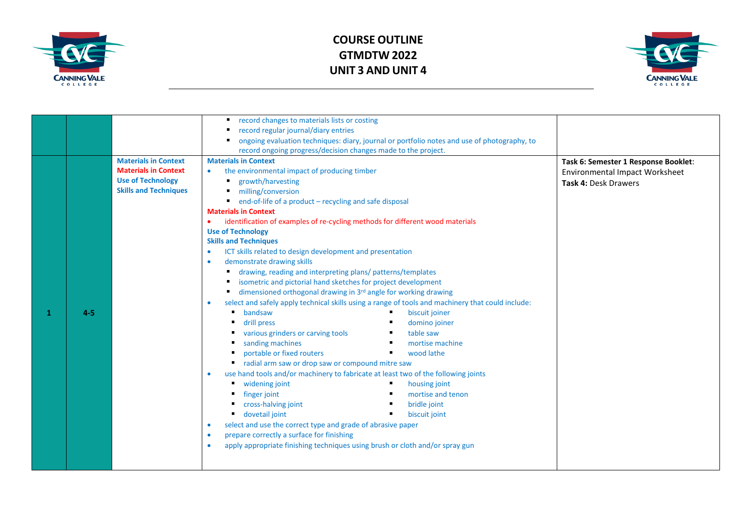



|   |         |                              | record changes to materials lists or costing                                                                   |                                       |
|---|---------|------------------------------|----------------------------------------------------------------------------------------------------------------|---------------------------------------|
|   |         |                              | record regular journal/diary entries                                                                           |                                       |
|   |         |                              | ongoing evaluation techniques: diary, journal or portfolio notes and use of photography, to                    |                                       |
|   |         |                              | record ongoing progress/decision changes made to the project.                                                  |                                       |
|   |         | <b>Materials in Context</b>  | <b>Materials in Context</b>                                                                                    | Task 6: Semester 1 Response Booklet:  |
|   |         | <b>Materials in Context</b>  | the environmental impact of producing timber<br>$\bullet$                                                      | <b>Environmental Impact Worksheet</b> |
|   |         | <b>Use of Technology</b>     | growth/harvesting                                                                                              | Task 4: Desk Drawers                  |
|   |         | <b>Skills and Techniques</b> | milling/conversion                                                                                             |                                       |
|   |         |                              | end-of-life of a product - recycling and safe disposal                                                         |                                       |
|   |         |                              | <b>Materials in Context</b>                                                                                    |                                       |
|   |         |                              | identification of examples of re-cycling methods for different wood materials                                  |                                       |
|   |         |                              | <b>Use of Technology</b>                                                                                       |                                       |
|   |         |                              | <b>Skills and Techniques</b>                                                                                   |                                       |
|   |         |                              | ICT skills related to design development and presentation<br>$\bullet$                                         |                                       |
|   |         |                              | demonstrate drawing skills<br>۰                                                                                |                                       |
|   |         |                              | drawing, reading and interpreting plans/ patterns/templates                                                    |                                       |
|   |         |                              | isometric and pictorial hand sketches for project development                                                  |                                       |
|   |         |                              | dimensioned orthogonal drawing in 3rd angle for working drawing                                                |                                       |
|   |         |                              | select and safely apply technical skills using a range of tools and machinery that could include:<br>$\bullet$ |                                       |
| 1 | $4 - 5$ |                              | bandsaw<br>biscuit joiner                                                                                      |                                       |
|   |         |                              | drill press<br>domino joiner                                                                                   |                                       |
|   |         |                              | various grinders or carving tools<br>table saw                                                                 |                                       |
|   |         |                              | sanding machines<br>mortise machine                                                                            |                                       |
|   |         |                              | portable or fixed routers<br>wood lathe                                                                        |                                       |
|   |         |                              | radial arm saw or drop saw or compound mitre saw                                                               |                                       |
|   |         |                              | use hand tools and/or machinery to fabricate at least two of the following joints<br>$\bullet$                 |                                       |
|   |         |                              | widening joint<br>housing joint                                                                                |                                       |
|   |         |                              | mortise and tenon<br>finger joint                                                                              |                                       |
|   |         |                              | cross-halving joint<br>bridle joint                                                                            |                                       |
|   |         |                              | dovetail joint<br>biscuit joint                                                                                |                                       |
|   |         |                              | select and use the correct type and grade of abrasive paper<br>۰                                               |                                       |
|   |         |                              | prepare correctly a surface for finishing<br>$\bullet$                                                         |                                       |
|   |         |                              | apply appropriate finishing techniques using brush or cloth and/or spray gun<br>$\bullet$                      |                                       |
|   |         |                              |                                                                                                                |                                       |
|   |         |                              |                                                                                                                |                                       |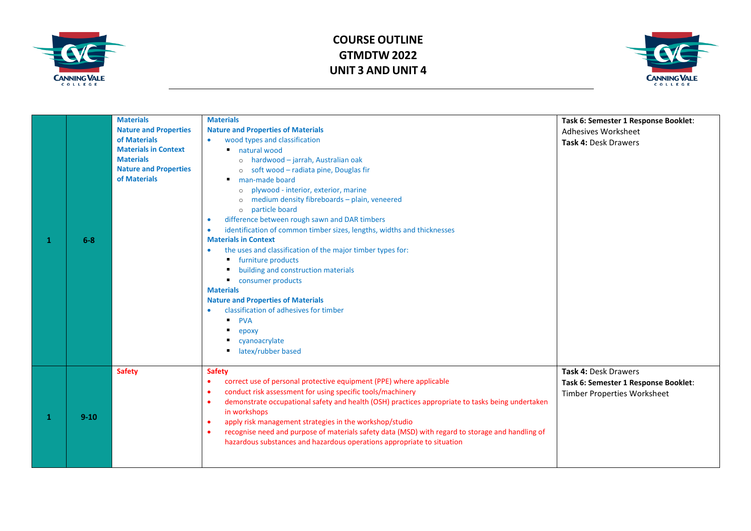



|   | $6-8$    | <b>Materials</b><br><b>Nature and Properties</b><br>of Materials<br><b>Materials in Context</b><br><b>Materials</b><br><b>Nature and Properties</b><br>of Materials | <b>Materials</b><br><b>Nature and Properties of Materials</b><br>wood types and classification<br>natural wood<br>٠<br>o hardwood - jarrah, Australian oak<br>o soft wood - radiata pine, Douglas fir<br>man-made board<br>plywood - interior, exterior, marine<br>$\Omega$<br>medium density fibreboards - plain, veneered<br>$\Omega$<br>particle board<br>$\circ$<br>difference between rough sawn and DAR timbers<br>$\bullet$<br>identification of common timber sizes, lengths, widths and thicknesses<br>$\bullet$<br><b>Materials in Context</b><br>the uses and classification of the major timber types for:<br>furniture products<br>building and construction materials<br>٠<br>consumer products<br><b>Materials</b><br><b>Nature and Properties of Materials</b><br>classification of adhesives for timber<br>$\bullet$<br><b>PVA</b><br>epoxy<br>cyanoacrylate<br>latex/rubber based | Task 6: Semester 1 Response Booklet:<br><b>Adhesives Worksheet</b><br>Task 4: Desk Drawers  |
|---|----------|---------------------------------------------------------------------------------------------------------------------------------------------------------------------|-----------------------------------------------------------------------------------------------------------------------------------------------------------------------------------------------------------------------------------------------------------------------------------------------------------------------------------------------------------------------------------------------------------------------------------------------------------------------------------------------------------------------------------------------------------------------------------------------------------------------------------------------------------------------------------------------------------------------------------------------------------------------------------------------------------------------------------------------------------------------------------------------------|---------------------------------------------------------------------------------------------|
| 1 | $9 - 10$ | <b>Safety</b>                                                                                                                                                       | <b>Safety</b><br>correct use of personal protective equipment (PPE) where applicable<br>$\bullet$<br>conduct risk assessment for using specific tools/machinery<br>$\bullet$<br>demonstrate occupational safety and health (OSH) practices appropriate to tasks being undertaken<br>$\bullet$<br>in workshops<br>apply risk management strategies in the workshop/studio<br>$\bullet$<br>recognise need and purpose of materials safety data (MSD) with regard to storage and handling of<br>$\bullet$<br>hazardous substances and hazardous operations appropriate to situation                                                                                                                                                                                                                                                                                                                    | Task 4: Desk Drawers<br>Task 6: Semester 1 Response Booklet:<br>Timber Properties Worksheet |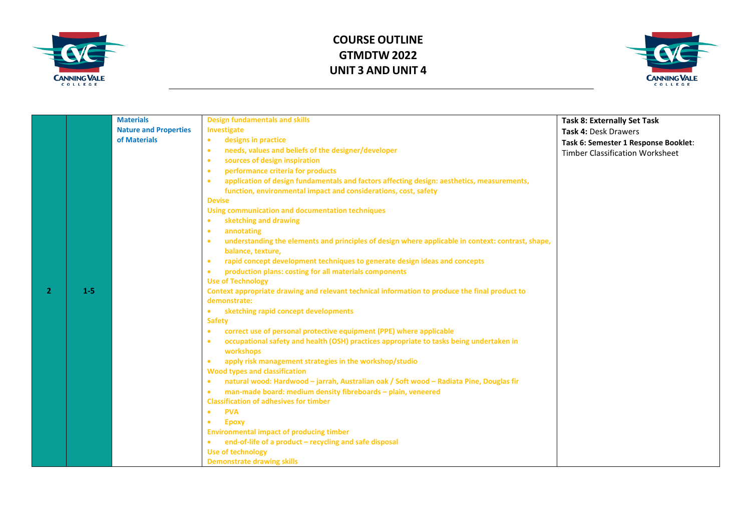



|   |       | <b>Materials</b>             | <b>Design fundamentals and skills</b>                                                                          | <b>Task 8: Externally Set Task</b>     |
|---|-------|------------------------------|----------------------------------------------------------------------------------------------------------------|----------------------------------------|
|   |       | <b>Nature and Properties</b> | Investigate                                                                                                    | Task 4: Desk Drawers                   |
|   |       | of Materials                 | designs in practice<br>$\bullet$                                                                               | Task 6: Semester 1 Response Booklet:   |
|   |       |                              | needs, values and beliefs of the designer/developer<br>$\bullet$                                               | <b>Timber Classification Worksheet</b> |
|   |       |                              | sources of design inspiration<br>$\bullet$                                                                     |                                        |
|   |       |                              | performance criteria for products<br>$\bullet$                                                                 |                                        |
|   |       |                              | application of design fundamentals and factors affecting design: aesthetics, measurements,<br>$\bullet$        |                                        |
|   |       |                              | function, environmental impact and considerations, cost, safety                                                |                                        |
|   |       |                              | <b>Devise</b>                                                                                                  |                                        |
|   |       |                              | Using communication and documentation techniques                                                               |                                        |
|   |       |                              | sketching and drawing<br>$\bullet$                                                                             |                                        |
|   |       |                              | annotating<br>$\bullet$                                                                                        |                                        |
|   |       |                              | understanding the elements and principles of design where applicable in context: contrast, shape,<br>$\bullet$ |                                        |
|   |       |                              | balance, texture,                                                                                              |                                        |
|   |       |                              | rapid concept development techniques to generate design ideas and concepts<br>$\bullet$                        |                                        |
|   |       |                              | production plans: costing for all materials components<br>$\bullet$                                            |                                        |
|   |       |                              | <b>Use of Technology</b>                                                                                       |                                        |
| 2 | $1-5$ |                              | Context appropriate drawing and relevant technical information to produce the final product to                 |                                        |
|   |       |                              | demonstrate:                                                                                                   |                                        |
|   |       |                              | sketching rapid concept developments<br>$\bullet$                                                              |                                        |
|   |       |                              | <b>Safety</b>                                                                                                  |                                        |
|   |       |                              | correct use of personal protective equipment (PPE) where applicable<br>$\bullet$                               |                                        |
|   |       |                              | occupational safety and health (OSH) practices appropriate to tasks being undertaken in<br>$\bullet$           |                                        |
|   |       |                              | workshops                                                                                                      |                                        |
|   |       |                              | apply risk management strategies in the workshop/studio<br>$\bullet$                                           |                                        |
|   |       |                              | <b>Wood types and classification</b>                                                                           |                                        |
|   |       |                              | natural wood: Hardwood - jarrah, Australian oak / Soft wood - Radiata Pine, Douglas fir<br>$\bullet$           |                                        |
|   |       |                              | man-made board: medium density fibreboards - plain, veneered<br>$\bullet$                                      |                                        |
|   |       |                              | <b>Classification of adhesives for timber</b>                                                                  |                                        |
|   |       |                              | <b>PVA</b><br>$\bullet$                                                                                        |                                        |
|   |       |                              | <b>Epoxy</b><br>$\bullet$                                                                                      |                                        |
|   |       |                              | <b>Environmental impact of producing timber</b>                                                                |                                        |
|   |       |                              | end-of-life of a product - recycling and safe disposal<br>$\bullet$                                            |                                        |
|   |       |                              | Use of technology                                                                                              |                                        |
|   |       |                              | <b>Demonstrate drawing skills</b>                                                                              |                                        |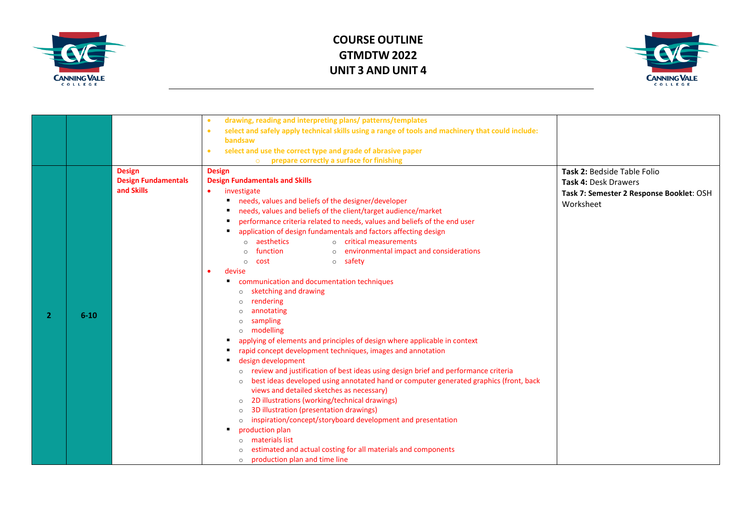



|                |          |                                          | drawing, reading and interpreting plans/ patterns/templates<br>$\bullet$                                       |                                          |
|----------------|----------|------------------------------------------|----------------------------------------------------------------------------------------------------------------|------------------------------------------|
|                |          |                                          | select and safely apply technical skills using a range of tools and machinery that could include:<br>$\bullet$ |                                          |
|                |          |                                          | bandsaw                                                                                                        |                                          |
|                |          |                                          | select and use the correct type and grade of abrasive paper<br>$\bullet$                                       |                                          |
|                |          |                                          | prepare correctly a surface for finishing<br>$\circ$                                                           |                                          |
|                |          | <b>Design</b>                            | <b>Design</b>                                                                                                  | Task 2: Bedside Table Folio              |
|                |          | <b>Design Fundamentals</b><br>and Skills | <b>Design Fundamentals and Skills</b>                                                                          | Task 4: Desk Drawers                     |
|                |          |                                          | investigate<br>$\bullet$                                                                                       | Task 7: Semester 2 Response Booklet: OSH |
|                |          |                                          | needs, values and beliefs of the designer/developer                                                            | Worksheet                                |
|                |          |                                          | needs, values and beliefs of the client/target audience/market                                                 |                                          |
|                |          |                                          | performance criteria related to needs, values and beliefs of the end user                                      |                                          |
|                |          |                                          | application of design fundamentals and factors affecting design                                                |                                          |
|                |          |                                          | o aesthetics<br>o critical measurements                                                                        |                                          |
|                |          |                                          | function<br>o environmental impact and considerations<br>$\circ$                                               |                                          |
|                |          |                                          | o safety<br>cost<br>$\circ$                                                                                    |                                          |
|                |          |                                          | devise<br>$\bullet$                                                                                            |                                          |
|                |          |                                          | communication and documentation techniques<br>٠                                                                |                                          |
|                |          |                                          | sketching and drawing<br>$\circ$                                                                               |                                          |
|                |          |                                          | rendering                                                                                                      |                                          |
| $\overline{2}$ | $6 - 10$ |                                          | annotating                                                                                                     |                                          |
|                |          |                                          | sampling                                                                                                       |                                          |
|                |          |                                          | modelling                                                                                                      |                                          |
|                |          |                                          | applying of elements and principles of design where applicable in context<br>٠                                 |                                          |
|                |          |                                          | rapid concept development techniques, images and annotation                                                    |                                          |
|                |          |                                          | design development<br>٠                                                                                        |                                          |
|                |          |                                          | review and justification of best ideas using design brief and performance criteria<br>$\circ$                  |                                          |
|                |          |                                          | best ideas developed using annotated hand or computer generated graphics (front, back<br>$\circ$               |                                          |
|                |          |                                          | views and detailed sketches as necessary)                                                                      |                                          |
|                |          |                                          | 2D illustrations (working/technical drawings)<br>$\circ$                                                       |                                          |
|                |          |                                          | 3D illustration (presentation drawings)<br>$\circ$                                                             |                                          |
|                |          |                                          | inspiration/concept/storyboard development and presentation<br>$\circ$                                         |                                          |
|                |          |                                          | production plan<br>materials list                                                                              |                                          |
|                |          |                                          | estimated and actual costing for all materials and components                                                  |                                          |
|                |          |                                          | production plan and time line                                                                                  |                                          |
|                |          |                                          | $\circ$                                                                                                        |                                          |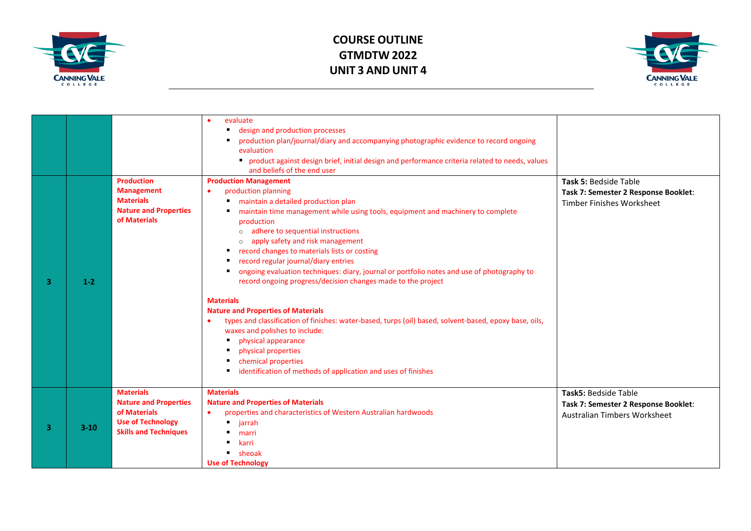



|   |         |                                                                                                                              | evaluate<br>design and production processes<br>$\blacksquare$<br>production plan/journal/diary and accompanying photographic evidence to record ongoing<br>evaluation<br>• product against design brief, initial design and performance criteria related to needs, values<br>and beliefs of the end user                                                                                                                                                                                                                                                                                                                                                                                                                                                                                                                                                                                                               |                                                                                              |
|---|---------|------------------------------------------------------------------------------------------------------------------------------|------------------------------------------------------------------------------------------------------------------------------------------------------------------------------------------------------------------------------------------------------------------------------------------------------------------------------------------------------------------------------------------------------------------------------------------------------------------------------------------------------------------------------------------------------------------------------------------------------------------------------------------------------------------------------------------------------------------------------------------------------------------------------------------------------------------------------------------------------------------------------------------------------------------------|----------------------------------------------------------------------------------------------|
| 2 | $1 - 2$ | <b>Production</b><br><b>Management</b><br><b>Materials</b><br><b>Nature and Properties</b><br>of Materials                   | <b>Production Management</b><br>production planning<br>$\bullet$<br>maintain a detailed production plan<br>maintain time management while using tools, equipment and machinery to complete<br>production<br>o adhere to sequential instructions<br>apply safety and risk management<br>$\circ$<br>record changes to materials lists or costing<br>record regular journal/diary entries<br>ongoing evaluation techniques: diary, journal or portfolio notes and use of photography to<br>record ongoing progress/decision changes made to the project<br><b>Materials</b><br><b>Nature and Properties of Materials</b><br>types and classification of finishes: water-based, turps (oil) based, solvent-based, epoxy base, oils,<br>waxes and polishes to include:<br>physical appearance<br>physical properties<br>٠<br>chemical properties<br>п<br>identification of methods of application and uses of finishes<br>٠ | Task 5: Bedside Table<br>Task 7: Semester 2 Response Booklet:<br>Timber Finishes Worksheet   |
| 3 | $3-10$  | <b>Materials</b><br><b>Nature and Properties</b><br>of Materials<br><b>Use of Technology</b><br><b>Skills and Techniques</b> | <b>Materials</b><br><b>Nature and Properties of Materials</b><br>properties and characteristics of Western Australian hardwoods<br>$\bullet$<br>$\blacksquare$<br>jarrah<br>marri<br>karri<br><b>sheoak</b><br><b>Use of Technology</b>                                                                                                                                                                                                                                                                                                                                                                                                                                                                                                                                                                                                                                                                                | Task5: Bedside Table<br>Task 7: Semester 2 Response Booklet:<br>Australian Timbers Worksheet |